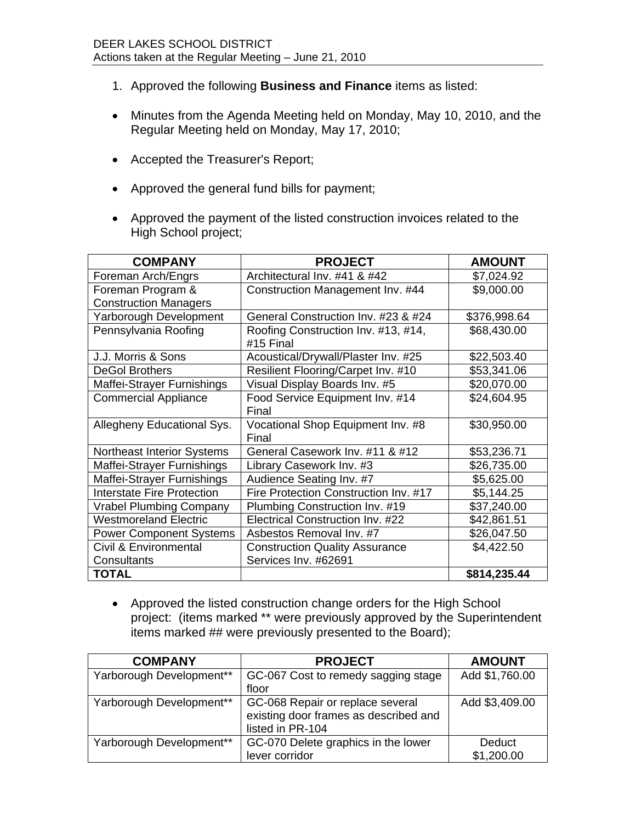- 1. Approved the following **Business and Finance** items as listed:
- Minutes from the Agenda Meeting held on Monday, May 10, 2010, and the Regular Meeting held on Monday, May 17, 2010;
- Accepted the Treasurer's Report;
- Approved the general fund bills for payment;
- Approved the payment of the listed construction invoices related to the High School project;

| <b>COMPANY</b>                    | <b>PROJECT</b>                                   | <b>AMOUNT</b> |
|-----------------------------------|--------------------------------------------------|---------------|
| Foreman Arch/Engrs                | Architectural Inv. #41 & #42                     | \$7,024.92    |
| Foreman Program &                 | Construction Management Inv. #44                 | \$9,000.00    |
| <b>Construction Managers</b>      |                                                  |               |
| Yarborough Development            | General Construction Inv. #23 & #24              | \$376,998.64  |
| Pennsylvania Roofing              | Roofing Construction Inv. #13, #14,<br>#15 Final | \$68,430.00   |
| J.J. Morris & Sons                | Acoustical/Drywall/Plaster Inv. #25              | \$22,503.40   |
| <b>DeGol Brothers</b>             | Resilient Flooring/Carpet Inv. #10               | \$53,341.06   |
| Maffei-Strayer Furnishings        | Visual Display Boards Inv. #5                    | \$20,070.00   |
| <b>Commercial Appliance</b>       | Food Service Equipment Inv. #14                  | \$24,604.95   |
|                                   | Final                                            |               |
| Allegheny Educational Sys.        | Vocational Shop Equipment Inv. #8                | \$30,950.00   |
|                                   | Final                                            |               |
| <b>Northeast Interior Systems</b> | General Casework Inv. #11 & #12                  | \$53,236.71   |
| Maffei-Strayer Furnishings        | Library Casework Inv. #3                         | \$26,735.00   |
| Maffei-Strayer Furnishings        | Audience Seating Inv. #7                         | \$5,625.00    |
| <b>Interstate Fire Protection</b> | Fire Protection Construction Inv. #17            | \$5,144.25    |
| <b>Vrabel Plumbing Company</b>    | Plumbing Construction Inv. #19                   | \$37,240.00   |
| <b>Westmoreland Electric</b>      | Electrical Construction Inv. #22                 | \$42,861.51   |
| <b>Power Component Systems</b>    | Asbestos Removal Inv. #7                         | \$26,047.50   |
| Civil & Environmental             | <b>Construction Quality Assurance</b>            | \$4,422.50    |
| Consultants                       | Services Inv. #62691                             |               |
| <b>TOTAL</b>                      |                                                  | \$814,235.44  |

 Approved the listed construction change orders for the High School project: (items marked \*\* were previously approved by the Superintendent items marked ## were previously presented to the Board);

| <b>COMPANY</b>           | <b>PROJECT</b>                                                                                | <b>AMOUNT</b>  |
|--------------------------|-----------------------------------------------------------------------------------------------|----------------|
| Yarborough Development** | GC-067 Cost to remedy sagging stage                                                           | Add \$1,760.00 |
|                          | floor                                                                                         |                |
| Yarborough Development** | GC-068 Repair or replace several<br>existing door frames as described and<br>listed in PR-104 | Add \$3,409.00 |
| Yarborough Development** | GC-070 Delete graphics in the lower                                                           | Deduct         |
|                          | lever corridor                                                                                | \$1,200.00     |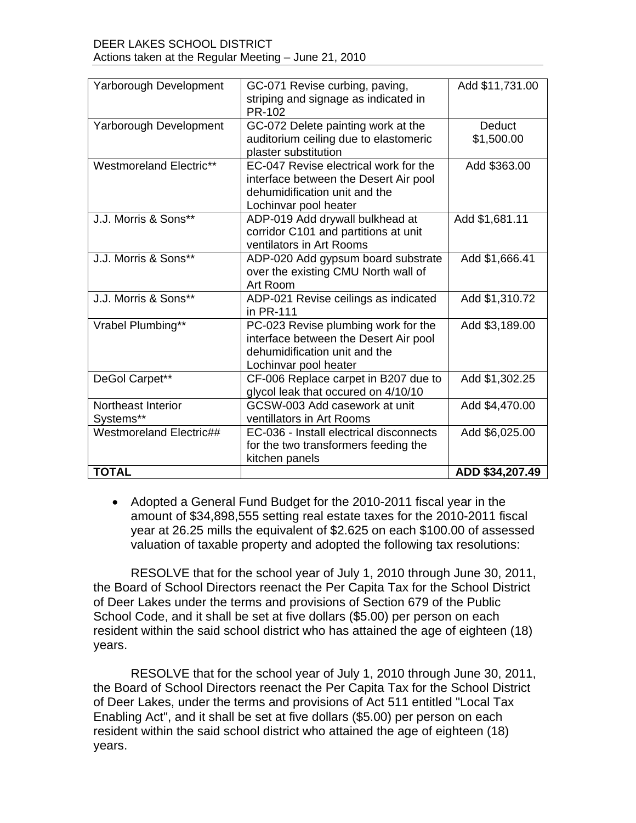| Yarborough Development  | GC-071 Revise curbing, paving,<br>striping and signage as indicated in | Add \$11,731.00 |
|-------------------------|------------------------------------------------------------------------|-----------------|
|                         | PR-102                                                                 |                 |
| Yarborough Development  | GC-072 Delete painting work at the                                     | Deduct          |
|                         | auditorium ceiling due to elastomeric                                  | \$1,500.00      |
|                         | plaster substitution                                                   |                 |
| Westmoreland Electric** | EC-047 Revise electrical work for the                                  | Add \$363.00    |
|                         | interface between the Desert Air pool                                  |                 |
|                         | dehumidification unit and the                                          |                 |
|                         | Lochinvar pool heater                                                  |                 |
| J.J. Morris & Sons**    | ADP-019 Add drywall bulkhead at                                        | Add \$1,681.11  |
|                         | corridor C101 and partitions at unit<br>ventilators in Art Rooms       |                 |
| J.J. Morris & Sons**    | ADP-020 Add gypsum board substrate                                     | Add \$1,666.41  |
|                         | over the existing CMU North wall of                                    |                 |
|                         | Art Room                                                               |                 |
| J.J. Morris & Sons**    | ADP-021 Revise ceilings as indicated                                   | Add \$1,310.72  |
|                         | in PR-111                                                              |                 |
| Vrabel Plumbing**       | PC-023 Revise plumbing work for the                                    | Add \$3,189.00  |
|                         | interface between the Desert Air pool                                  |                 |
|                         | dehumidification unit and the                                          |                 |
|                         | Lochinvar pool heater                                                  |                 |
| DeGol Carpet**          | CF-006 Replace carpet in B207 due to                                   | Add \$1,302.25  |
|                         | glycol leak that occured on 4/10/10                                    |                 |
| Northeast Interior      | GCSW-003 Add casework at unit                                          | Add \$4,470.00  |
| Systems**               | ventillators in Art Rooms                                              |                 |
| Westmoreland Electric## | EC-036 - Install electrical disconnects                                | Add \$6,025.00  |
|                         | for the two transformers feeding the<br>kitchen panels                 |                 |
| <b>TOTAL</b>            |                                                                        | ADD \$34,207.49 |
|                         |                                                                        |                 |

 Adopted a General Fund Budget for the 2010-2011 fiscal year in the amount of \$34,898,555 setting real estate taxes for the 2010-2011 fiscal year at 26.25 mills the equivalent of \$2.625 on each \$100.00 of assessed valuation of taxable property and adopted the following tax resolutions:

RESOLVE that for the school year of July 1, 2010 through June 30, 2011, the Board of School Directors reenact the Per Capita Tax for the School District of Deer Lakes under the terms and provisions of Section 679 of the Public School Code, and it shall be set at five dollars (\$5.00) per person on each resident within the said school district who has attained the age of eighteen (18) years.

RESOLVE that for the school year of July 1, 2010 through June 30, 2011, the Board of School Directors reenact the Per Capita Tax for the School District of Deer Lakes, under the terms and provisions of Act 511 entitled "Local Tax Enabling Act", and it shall be set at five dollars (\$5.00) per person on each resident within the said school district who attained the age of eighteen (18) years.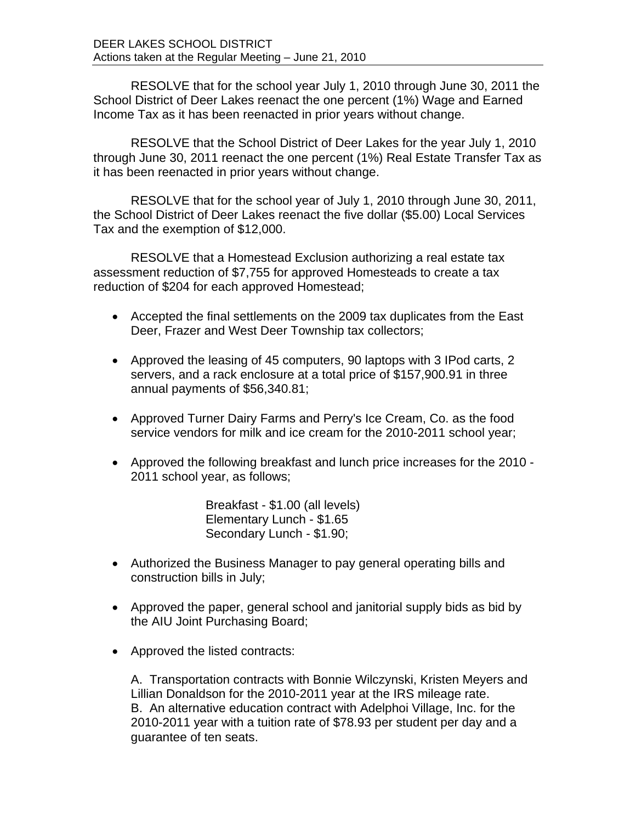RESOLVE that for the school year July 1, 2010 through June 30, 2011 the School District of Deer Lakes reenact the one percent (1%) Wage and Earned Income Tax as it has been reenacted in prior years without change.

RESOLVE that the School District of Deer Lakes for the year July 1, 2010 through June 30, 2011 reenact the one percent (1%) Real Estate Transfer Tax as it has been reenacted in prior years without change.

RESOLVE that for the school year of July 1, 2010 through June 30, 2011, the School District of Deer Lakes reenact the five dollar (\$5.00) Local Services Tax and the exemption of \$12,000.

RESOLVE that a Homestead Exclusion authorizing a real estate tax assessment reduction of \$7,755 for approved Homesteads to create a tax reduction of \$204 for each approved Homestead;

- Accepted the final settlements on the 2009 tax duplicates from the East Deer, Frazer and West Deer Township tax collectors;
- Approved the leasing of 45 computers, 90 laptops with 3 IPod carts, 2 servers, and a rack enclosure at a total price of \$157,900.91 in three annual payments of \$56,340.81;
- Approved Turner Dairy Farms and Perry's Ice Cream, Co. as the food service vendors for milk and ice cream for the 2010-2011 school year;
- Approved the following breakfast and lunch price increases for the 2010 2011 school year, as follows;

Breakfast - \$1.00 (all levels) Elementary Lunch - \$1.65 Secondary Lunch - \$1.90;

- Authorized the Business Manager to pay general operating bills and construction bills in July;
- Approved the paper, general school and janitorial supply bids as bid by the AIU Joint Purchasing Board;
- Approved the listed contracts:

A. Transportation contracts with Bonnie Wilczynski, Kristen Meyers and Lillian Donaldson for the 2010-2011 year at the IRS mileage rate. B. An alternative education contract with Adelphoi Village, Inc. for the 2010-2011 year with a tuition rate of \$78.93 per student per day and a guarantee of ten seats.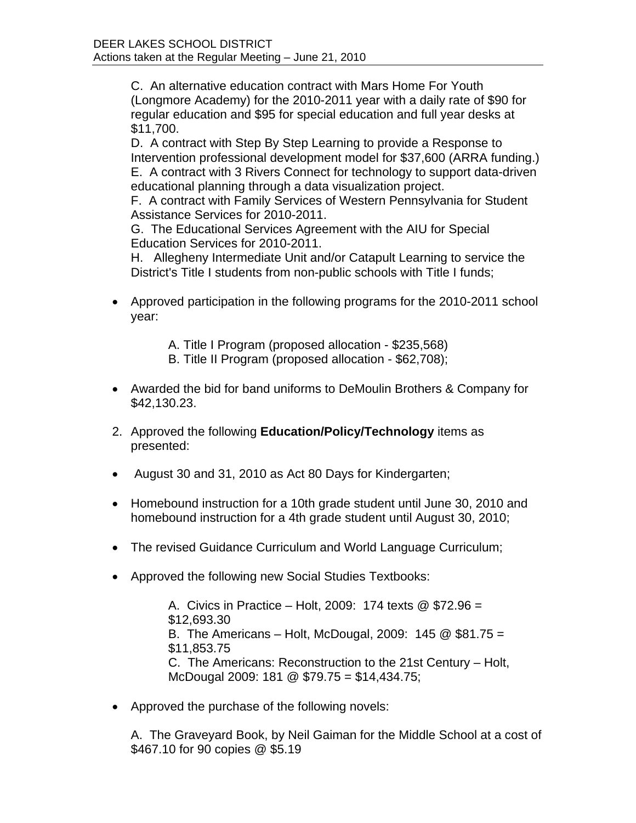C. An alternative education contract with Mars Home For Youth (Longmore Academy) for the 2010-2011 year with a daily rate of \$90 for regular education and \$95 for special education and full year desks at \$11,700.

D. A contract with Step By Step Learning to provide a Response to Intervention professional development model for \$37,600 (ARRA funding.) E. A contract with 3 Rivers Connect for technology to support data-driven educational planning through a data visualization project.

F. A contract with Family Services of Western Pennsylvania for Student Assistance Services for 2010-2011.

G. The Educational Services Agreement with the AIU for Special Education Services for 2010-2011.

H. Allegheny Intermediate Unit and/or Catapult Learning to service the District's Title I students from non-public schools with Title I funds;

• Approved participation in the following programs for the 2010-2011 school year:

A. Title I Program (proposed allocation - \$235,568)

- B. Title II Program (proposed allocation \$62,708);
- Awarded the bid for band uniforms to DeMoulin Brothers & Company for \$42,130.23.
- 2. Approved the following **Education/Policy/Technology** items as presented:
- August 30 and 31, 2010 as Act 80 Days for Kindergarten;
- Homebound instruction for a 10th grade student until June 30, 2010 and homebound instruction for a 4th grade student until August 30, 2010;
- The revised Guidance Curriculum and World Language Curriculum;
- Approved the following new Social Studies Textbooks:

A. Civics in Practice – Holt, 2009: 174 texts @ \$72.96 = \$12,693.30 B. The Americans – Holt, McDougal, 2009: 145 @ \$81.75 = \$11,853.75 C. The Americans: Reconstruction to the 21st Century – Holt, McDougal 2009: 181 @ \$79.75 = \$14,434.75;

• Approved the purchase of the following novels:

A. The Graveyard Book, by Neil Gaiman for the Middle School at a cost of \$467.10 for 90 copies @ \$5.19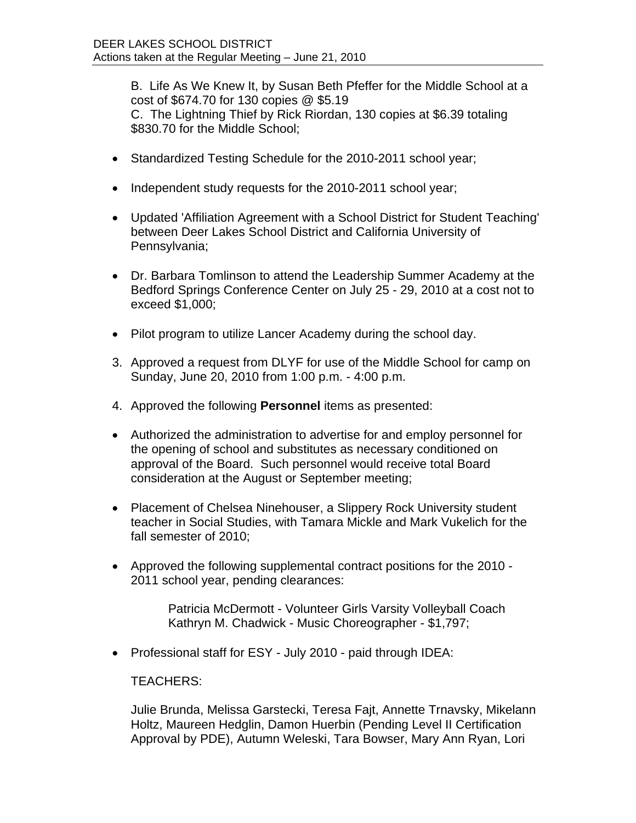B. Life As We Knew It, by Susan Beth Pfeffer for the Middle School at a cost of \$674.70 for 130 copies @ \$5.19 C. The Lightning Thief by Rick Riordan, 130 copies at \$6.39 totaling \$830.70 for the Middle School;

- Standardized Testing Schedule for the 2010-2011 school year;
- Independent study requests for the 2010-2011 school year;
- Updated 'Affiliation Agreement with a School District for Student Teaching' between Deer Lakes School District and California University of Pennsylvania;
- Dr. Barbara Tomlinson to attend the Leadership Summer Academy at the Bedford Springs Conference Center on July 25 - 29, 2010 at a cost not to exceed \$1,000;
- Pilot program to utilize Lancer Academy during the school day.
- 3. Approved a request from DLYF for use of the Middle School for camp on Sunday, June 20, 2010 from 1:00 p.m. - 4:00 p.m.
- 4. Approved the following **Personnel** items as presented:
- Authorized the administration to advertise for and employ personnel for the opening of school and substitutes as necessary conditioned on approval of the Board. Such personnel would receive total Board consideration at the August or September meeting;
- Placement of Chelsea Ninehouser, a Slippery Rock University student teacher in Social Studies, with Tamara Mickle and Mark Vukelich for the fall semester of 2010;
- Approved the following supplemental contract positions for the 2010 2011 school year, pending clearances:

Patricia McDermott - Volunteer Girls Varsity Volleyball Coach Kathryn M. Chadwick - Music Choreographer - \$1,797;

Professional staff for ESY - July 2010 - paid through IDEA:

TEACHERS:

Julie Brunda, Melissa Garstecki, Teresa Fajt, Annette Trnavsky, Mikelann Holtz, Maureen Hedglin, Damon Huerbin (Pending Level II Certification Approval by PDE), Autumn Weleski, Tara Bowser, Mary Ann Ryan, Lori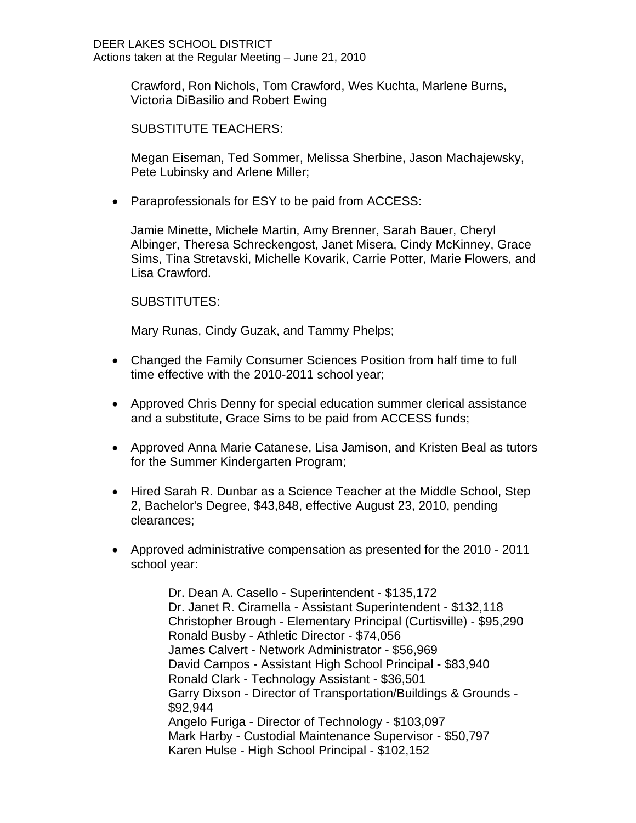Crawford, Ron Nichols, Tom Crawford, Wes Kuchta, Marlene Burns, Victoria DiBasilio and Robert Ewing

SUBSTITUTE TEACHERS:

Megan Eiseman, Ted Sommer, Melissa Sherbine, Jason Machajewsky, Pete Lubinsky and Arlene Miller;

Paraprofessionals for ESY to be paid from ACCESS:

Jamie Minette, Michele Martin, Amy Brenner, Sarah Bauer, Cheryl Albinger, Theresa Schreckengost, Janet Misera, Cindy McKinney, Grace Sims, Tina Stretavski, Michelle Kovarik, Carrie Potter, Marie Flowers, and Lisa Crawford.

SUBSTITUTES:

Mary Runas, Cindy Guzak, and Tammy Phelps;

- Changed the Family Consumer Sciences Position from half time to full time effective with the 2010-2011 school year;
- Approved Chris Denny for special education summer clerical assistance and a substitute, Grace Sims to be paid from ACCESS funds;
- Approved Anna Marie Catanese, Lisa Jamison, and Kristen Beal as tutors for the Summer Kindergarten Program;
- Hired Sarah R. Dunbar as a Science Teacher at the Middle School, Step 2, Bachelor's Degree, \$43,848, effective August 23, 2010, pending clearances;
- Approved administrative compensation as presented for the 2010 2011 school year:

Dr. Dean A. Casello - Superintendent - \$135,172 Dr. Janet R. Ciramella - Assistant Superintendent - \$132,118 Christopher Brough - Elementary Principal (Curtisville) - \$95,290 Ronald Busby - Athletic Director - \$74,056 James Calvert - Network Administrator - \$56,969 David Campos - Assistant High School Principal - \$83,940 Ronald Clark - Technology Assistant - \$36,501 Garry Dixson - Director of Transportation/Buildings & Grounds - \$92,944 Angelo Furiga - Director of Technology - \$103,097 Mark Harby - Custodial Maintenance Supervisor - \$50,797 Karen Hulse - High School Principal - \$102,152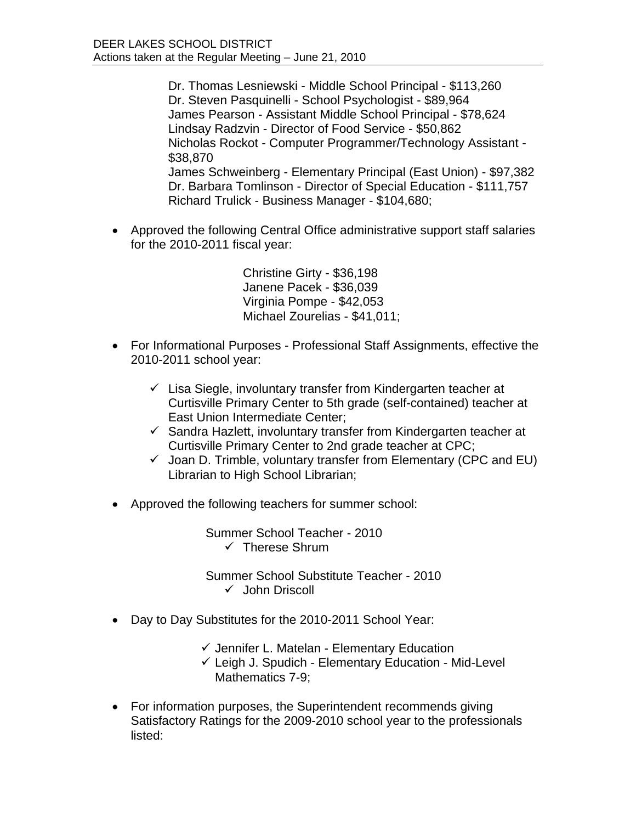Dr. Thomas Lesniewski - Middle School Principal - \$113,260 Dr. Steven Pasquinelli - School Psychologist - \$89,964 James Pearson - Assistant Middle School Principal - \$78,624 Lindsay Radzvin - Director of Food Service - \$50,862 Nicholas Rockot - Computer Programmer/Technology Assistant - \$38,870 James Schweinberg - Elementary Principal (East Union) - \$97,382 Dr. Barbara Tomlinson - Director of Special Education - \$111,757 Richard Trulick - Business Manager - \$104,680;

 Approved the following Central Office administrative support staff salaries for the 2010-2011 fiscal year:

> Christine Girty - \$36,198 Janene Pacek - \$36,039 Virginia Pompe - \$42,053 Michael Zourelias - \$41,011;

- For Informational Purposes Professional Staff Assignments, effective the 2010-2011 school year:
	- $\checkmark$  Lisa Siegle, involuntary transfer from Kindergarten teacher at Curtisville Primary Center to 5th grade (self-contained) teacher at East Union Intermediate Center;
	- $\checkmark$  Sandra Hazlett, involuntary transfer from Kindergarten teacher at Curtisville Primary Center to 2nd grade teacher at CPC;
	- $\checkmark$  Joan D. Trimble, voluntary transfer from Elementary (CPC and EU) Librarian to High School Librarian;
- Approved the following teachers for summer school:

Summer School Teacher - 2010  $\checkmark$  Therese Shrum

Summer School Substitute Teacher - 2010  $\checkmark$  John Driscoll

- Day to Day Substitutes for the 2010-2011 School Year:
	- $\checkmark$  Jennifer L. Matelan Elementary Education
	- $\checkmark$  Leigh J. Spudich Elementary Education Mid-Level Mathematics 7-9;
- For information purposes, the Superintendent recommends giving Satisfactory Ratings for the 2009-2010 school year to the professionals listed: